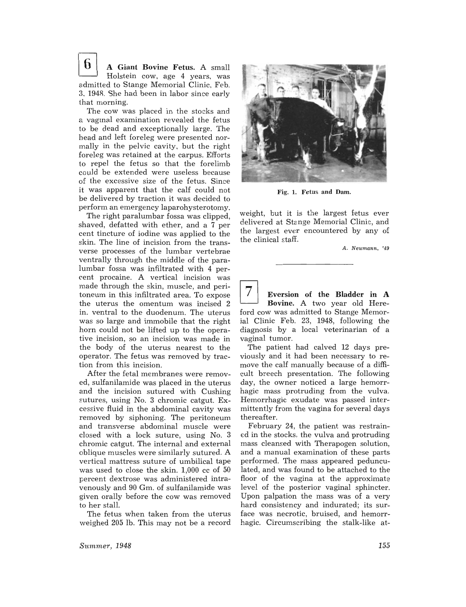$\mathbf{6}$  | A Giant Bovine Fetus. A small Holstein cow, age 4 years, was admitted to Stange Memorial Clinic, Feb. *3. 194R.* She had been in labor since early that morning.

The cow was placed in the stocks and a vaginal examination revealed the fetus to be dead and exceptionally large. The head and left foreleg were presented normally in the pelvic cavity, but the right foreleg was retained at the carpus. Efforts to repel the fetus so that the forelimb could be extended were useless because of the excessive size of the fetus. Since it was apparent that the calf could not be delivered by traction it was decided to perform an emergency laparohysterotomy.

The right paralumbar fossa was clipped, shaved, defatted with ether, and a 7 per cent tincture of iodine was applied to the skin. The line of incision from the transverse processes of the lumbar vertebrae ventrally through the middle of the paralumbar fossa was infiltrated with 4 percent procaine. A vertical incision was made through the skin, muscle, and peritoneum in this infiltrated area. To expose the uterus the omentum was incised 2 in. ventral to the duodenum. The uterus was so large and immobile that the right horn could not be lifted up to the operative incision, so an incision was made in the body of the uterus nearest to the operator. The fetus was removed by traction from this incision.

After the fetal membranes were removed, sulfanilamide was placed in the uterus and the incision sutured with Cushing sutures, using No.3 chromic catgut. Excessive fluid in the abdominal cavity was removed by siphoning. The peritoneum and transverse abdominal muscle were closed with a lock suture, using No. 3 chromic catgut. The internal and external oblique muscles were similarly sutured. A vertical mattress suture of umbilical tape was used to close the skin. 1,000 cc of 50 percent dextrose was administered intravenously and 90 Gm. of sulfanilamide was given orally before the cow was removed to her stall.

The fetus when taken from the uterus weighed 205 lb. This may not be a record



Fig. 1. Fetus and Dam.

weight, but it is the largest fetus ever delivered at Stange Memorial Clinic, and the largest ever encountered by any of the clinical staff.

A. Neumann, '49

Eversion of the Bladder in A Bovine. A two year old Hereford cow was admitted to Stange Memorial Clinic Feb. 23, 1948, following the diagnosis by a local veterinarian of a vaginal tumor.

The patient had calved 12 days previously and it had been necessary to remove the calf manually because of a difficult breech presentation. The following day, the owner noticed a large hemorrhagic mass protruding from the vulva. Hemorrhagic exudate was passed intermittently from the vagina for several days thereafter.

February 24, the patient was restrained in the stocks, the vulva and protruding mass cleansed with Therapogen solution, and a manual examination of these parts performed. The mass appeared pedunculated, and was found to be attached to the floor of the vagina at the approximate level of the posterior vaginal sphincter. Upon palpation the mass was of a very hard consistency and indurated; its surface was necrotic, bruised, and hemorrhagic. Circumscribing the stalk-like at-

Summer, 1948